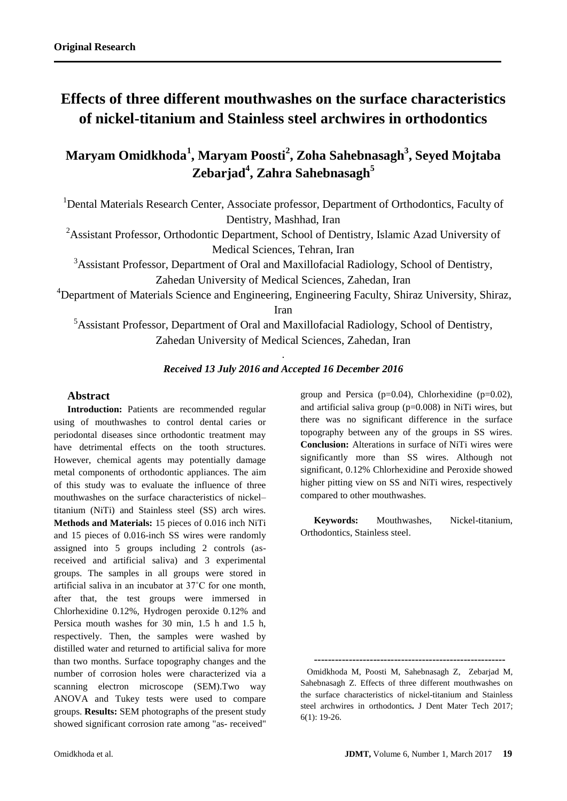# **Effects of three different mouthwashes on the surface characteristics of nickel-titanium and Stainless steel archwires in orthodontics**

**Maryam Omidkhoda<sup>1</sup> , Maryam Poosti<sup>2</sup> , Zoha Sahebnasagh<sup>3</sup> , Seyed Mojtaba Zebarjad<sup>4</sup> , Zahra Sahebnasagh<sup>5</sup>**

<sup>1</sup>Dental Materials Research Center, Associate professor, Department of Orthodontics, Faculty of Dentistry, Mashhad, Iran

<sup>2</sup>Assistant Professor, Orthodontic Department, School of Dentistry, Islamic Azad University of Medical Sciences, Tehran, Iran

<sup>3</sup>Assistant Professor, Department of Oral and Maxillofacial Radiology, School of Dentistry, Zahedan University of Medical Sciences, Zahedan, Iran

<sup>4</sup>Department of Materials Science and Engineering, Engineering Faculty, Shiraz University, Shiraz, Iran

<sup>5</sup>Assistant Professor, Department of Oral and Maxillofacial Radiology, School of Dentistry, Zahedan University of Medical Sciences, Zahedan, Iran

# . *Received 13 July 2016 and Accepted 16 December 2016*

## **Abstract**

**Introduction:** Patients are recommended regular using of mouthwashes to control dental caries or periodontal diseases since orthodontic treatment may have detrimental effects on the tooth structures. However, chemical agents may potentially damage metal components of orthodontic appliances. The aim of this study was to evaluate the influence of three mouthwashes on the surface characteristics of nickel– titanium (NiTi) and Stainless steel (SS) arch wires. **Methods and Materials:** 15 pieces of 0.016 inch NiTi and 15 pieces of 0.016-inch SS wires were randomly assigned into 5 groups including 2 controls (asreceived and artificial saliva) and 3 experimental groups. The samples in all groups were stored in artificial saliva in an incubator at 37˚C for one month, after that, the test groups were immersed in Chlorhexidine 0.12%, Hydrogen peroxide 0.12% and Persica mouth washes for 30 min, 1.5 h and 1.5 h, respectively. Then, the samples were washed by distilled water and returned to artificial saliva for more than two months. Surface topography changes and the number of corrosion holes were characterized via a scanning electron microscope (SEM).Two way ANOVA and Tukey tests were used to compare groups. **Results:** SEM photographs of the present study showed significant corrosion rate among "as- received"

group and Persica  $(p=0.04)$ , Chlorhexidine  $(p=0.02)$ , and artificial saliva group (p=0.008) in NiTi wires, but there was no significant difference in the surface topography between any of the groups in SS wires. **Conclusion:** Alterations in surface of NiTi wires were significantly more than SS wires. Although not significant, 0.12% Chlorhexidine and Peroxide showed higher pitting view on SS and NiTi wires, respectively compared to other mouthwashes.

**Keywords:** Mouthwashes, Nickel-titanium, Orthodontics, Stainless steel.

**-------------------------------------------------------**

 Omidkhoda M, Poosti M, Sahebnasagh Z, Zebarjad M, Sahebnasagh Z. Effects of three different mouthwashes on the surface characteristics of nickel-titanium and Stainless steel archwires in orthodontics**.** J Dent Mater Tech 2017; 6(1): 19-26.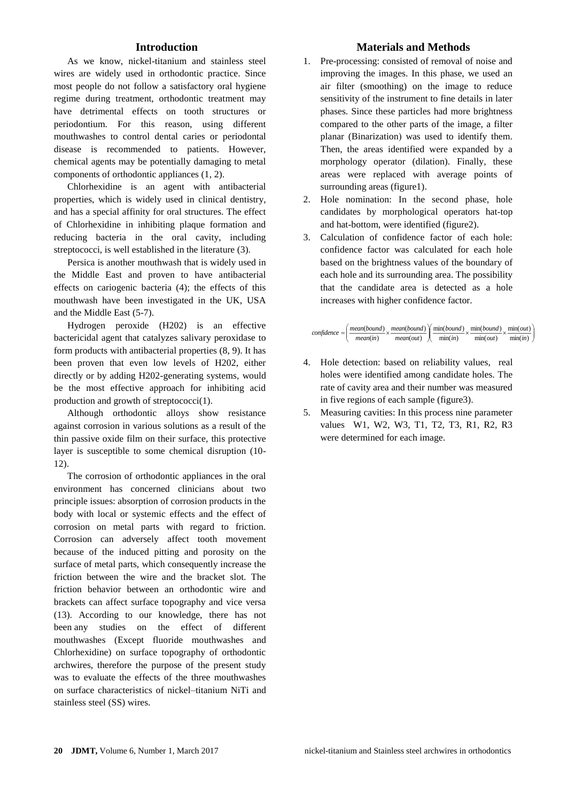# **Introduction**

As we know, nickel-titanium and stainless steel wires are widely used in orthodontic practice. Since most people do not follow a satisfactory oral hygiene regime during treatment, orthodontic treatment may have detrimental effects on tooth structures or periodontium. For this reason, using different mouthwashes to control dental caries or periodontal disease is recommended to patients. However, chemical agents may be potentially damaging to metal components of orthodontic appliances (1, 2).

Chlorhexidine is an agent with antibacterial properties, which is widely used in clinical dentistry, and has a special affinity for oral structures. The effect of Chlorhexidine in inhibiting plaque formation and reducing bacteria in the oral cavity, including streptococci, is well established in the literature (3).

Persica is another mouthwash that is widely used in the Middle East and proven to have antibacterial effects on cariogenic bacteria (4); the effects of this mouthwash have been investigated in the UK, USA and the Middle East (5-7).

Hydrogen peroxide (H202) is an effective bactericidal agent that catalyzes salivary peroxidase to form products with antibacterial properties (8, 9). It has been proven that even low levels of H202, either directly or by adding H202-generating systems, would be the most effective approach for inhibiting acid production and growth of streptococci(1).

Although orthodontic alloys show resistance against corrosion in various solutions as a result of the thin passive oxide film on their surface, this protective layer is susceptible to some chemical disruption (10- 12).

The corrosion of orthodontic appliances in the oral environment has concerned clinicians about two principle issues: absorption of corrosion products in the body with local or systemic effects and the effect of corrosion on metal parts with regard to friction. Corrosion can adversely affect tooth movement because of the induced pitting and porosity on the surface of metal parts, which consequently increase the friction between the wire and the bracket slot. The friction behavior between an orthodontic wire and brackets can affect surface topography and vice versa (13). According to our knowledge, there has not been any studies on the effect of different mouthwashes (Except fluoride mouthwashes and Chlorhexidine) on surface topography of orthodontic archwires, therefore the purpose of the present study was to evaluate the effects of the three mouthwashes on surface characteristics of nickel–titanium NiTi and stainless steel (SS) wires.

# **Materials and Methods**

- 1. Pre-processing: consisted of removal of noise and improving the images. In this phase, we used an air filter (smoothing) on the image to reduce sensitivity of the instrument to fine details in later phases. Since these particles had more brightness compared to the other parts of the image, a filter planar (Binarization) was used to identify them. Then, the areas identified were expanded by a morphology operator (dilation). Finally, these areas were replaced with average points of surrounding areas (figure1).
- 2. Hole nomination: In the second phase, hole candidates by morphological operators hat-top and hat-bottom, were identified (figure2).
- 3. Calculation of confidence factor of each hole: confidence factor was calculated for each hole based on the brightness values of the boundary of each hole and its surrounding area. The possibility that the candidate area is detected as a hole increases with higher confidence factor.



- 4. Hole detection: based on reliability values, real holes were identified among candidate holes. The rate of cavity area and their number was measured in five regions of each sample (figure3).
- 5. Measuring cavities: In this process nine parameter values W1, W2, W3, T1, T2, T3, R1, R2, R3 were determined for each image.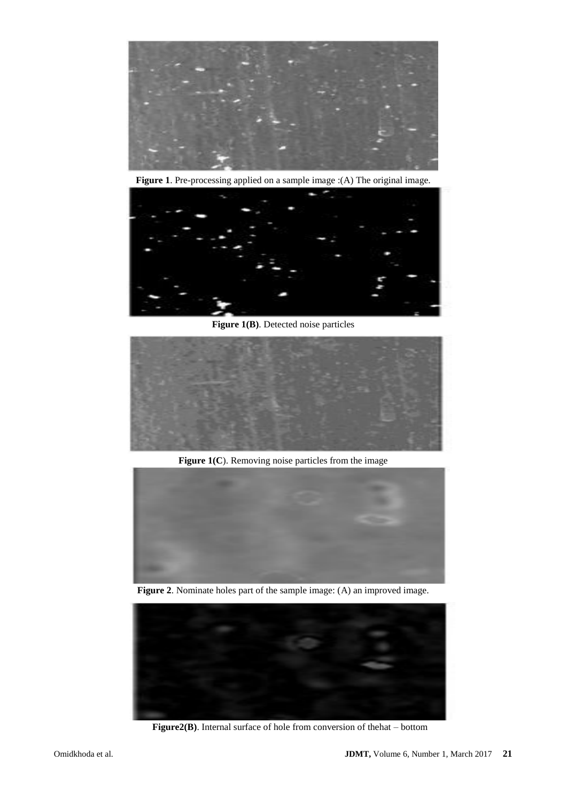

**Figure 1**. Pre-processing applied on a sample image :(A) The original image.



**Figure 1(B)**. Detected noise particles



Figure 1(C). Removing noise particles from the image



**Figure 2**. Nominate holes part of the sample image: (A) an improved image.



**Figure2(B)**. Internal surface of hole from conversion of thehat – bottom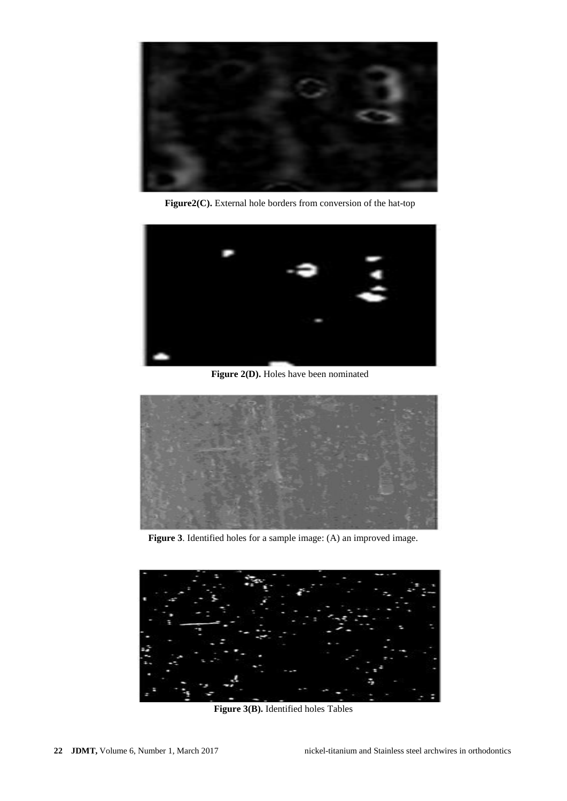

**Figure2(C).** External hole borders from conversion of the hat-top



**Figure 2(D).** Holes have been nominated



**Figure 3**. Identified holes for a sample image: (A) an improved image.



**Figure 3(B).** Identified holes Tables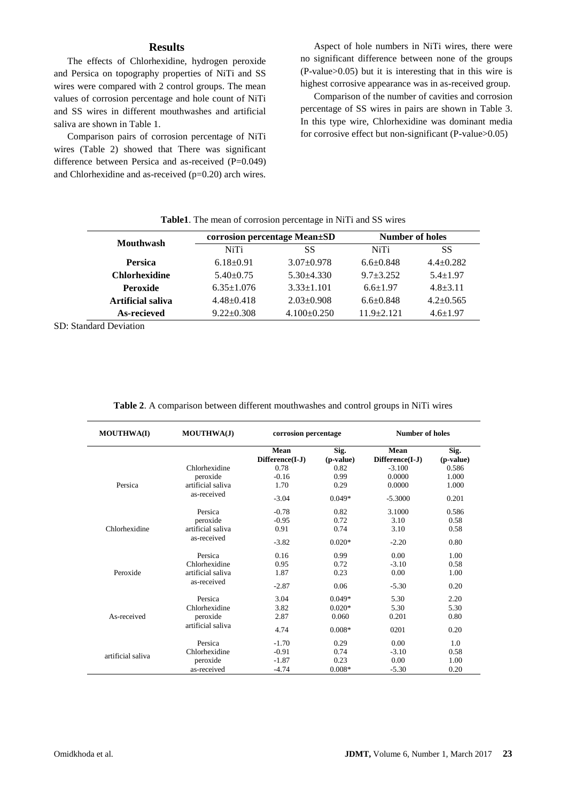## **Results**

The effects of Chlorhexidine, hydrogen peroxide and Persica on topography properties of NiTi and SS wires were compared with 2 control groups. The mean values of corrosion percentage and hole count of NiTi and SS wires in different mouthwashes and artificial saliva are shown in Table 1.

Comparison pairs of corrosion percentage of NiTi wires (Table 2) showed that There was significant difference between Persica and as-received (P=0.049) and Chlorhexidine and as-received (p=0.20) arch wires.

Aspect of hole numbers in NiTi wires, there were no significant difference between none of the groups (P-value>0.05) but it is interesting that in this wire is highest corrosive appearance was in as-received group.

Comparison of the number of cavities and corrosion percentage of SS wires in pairs are shown in Table 3. In this type wire, Chlorhexidine was dominant media for corrosive effect but non-significant (P-value>0.05)

|                      |                  | corrosion percentage Mean±SD | <b>Number of holes</b> |                 |  |
|----------------------|------------------|------------------------------|------------------------|-----------------|--|
| <b>Mouthwash</b>     | <b>NiTi</b>      | SS                           | NiTi                   | SS              |  |
| <b>Persica</b>       | $6.18 \pm 0.91$  | $3.07+0.978$                 | $6.6 \pm 0.848$        | $4.4+0.282$     |  |
| <b>Chlorhexidine</b> | $5.40 \pm 0.75$  | $5.30 + 4.330$               | $9.7 + 3.252$          | $5.4 + 1.97$    |  |
| <b>Peroxide</b>      | $6.35 \pm 1.076$ | $3.33 \pm 1.101$             | $6.6 \pm 1.97$         | $4.8 + 3.11$    |  |
| Artificial saliva    | $4.48 \pm 0.418$ | $2.03 \pm 0.908$             | $6.6 \pm 0.848$        | $4.2 \pm 0.565$ |  |
| As-recieved          | $9.22 \pm 0.308$ | $4.100 \pm 0.250$            | $11.9 + 2.121$         | $4.6 \pm 1.97$  |  |

|  |  |  |  |  | Table1. The mean of corrosion percentage in NiTi and SS wires |  |  |  |  |  |
|--|--|--|--|--|---------------------------------------------------------------|--|--|--|--|--|
|--|--|--|--|--|---------------------------------------------------------------|--|--|--|--|--|

SD: Standard Deviation

| <b>MOUTHWA(I)</b> | <b>MOUTHWA(J)</b> | corrosion percentage    |                   | <b>Number of holes</b>  |                   |  |
|-------------------|-------------------|-------------------------|-------------------|-------------------------|-------------------|--|
|                   |                   | Mean<br>Difference(I-J) | Sig.<br>(p-value) | Mean<br>Difference(I-J) | Sig.<br>(p-value) |  |
|                   | Chlorhexidine     | 0.78                    | 0.82              | $-3.100$                | 0.586             |  |
|                   | peroxide          | $-0.16$                 | 0.99              | 0.0000                  | 1.000             |  |
| Persica           | artificial saliva | 1.70                    | 0.29              | 0.0000                  | 1.000             |  |
|                   | as-received       | $-3.04$                 | $0.049*$          | $-5.3000$               | 0.201             |  |
|                   | Persica           | $-0.78$                 | 0.82              | 3.1000                  | 0.586             |  |
|                   | peroxide          | $-0.95$                 | 0.72              | 3.10                    | 0.58              |  |
| Chlorhexidine     | artificial saliva | 0.91                    | 0.74              | 3.10                    | 0.58              |  |
|                   | as-received       | $-3.82$                 | $0.020*$          | $-2.20$                 | 0.80              |  |
|                   | Persica           | 0.16                    | 0.99              | 0.00                    | 1.00              |  |
|                   | Chlorhexidine     | 0.95                    | 0.72              | $-3.10$                 | 0.58              |  |
| Peroxide          | artificial saliva | 1.87                    | 0.23              | 0.00                    | 1.00              |  |
|                   | as-received       | $-2.87$                 | 0.06              | $-5.30$                 | 0.20              |  |
|                   | Persica           | 3.04                    | $0.049*$          | 5.30                    | 2.20              |  |
| As-received       | Chlorhexidine     | 3.82                    | $0.020*$          | 5.30                    | 5.30              |  |
|                   | peroxide          | 2.87                    | 0.060             | 0.201                   | 0.80              |  |
|                   | artificial saliva | 4.74                    | $0.008*$          | 0201                    | 0.20              |  |
|                   | Persica           | $-1.70$                 | 0.29              | 0.00                    | 1.0               |  |
|                   | Chlorhexidine     | $-0.91$                 | 0.74              | $-3.10$                 | 0.58              |  |
| artificial saliva | peroxide          | $-1.87$                 | 0.23              | 0.00                    | 1.00              |  |
|                   | as-received       | $-4.74$                 | $0.008*$          | $-5.30$                 | 0.20              |  |

**Table 2**. A comparison between different mouthwashes and control groups in NiTi wires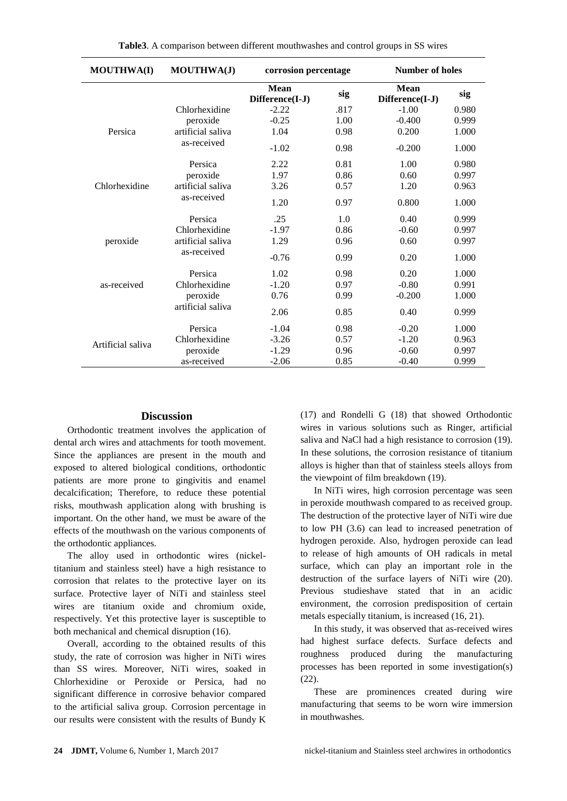| <b>MOUTHWA(I)</b> | MOUTHWA(J)                       | corrosion percentage           |      | <b>Number of holes</b>         |       |  |
|-------------------|----------------------------------|--------------------------------|------|--------------------------------|-------|--|
|                   |                                  | <b>Mean</b><br>Difference(I-J) | sig  | <b>Mean</b><br>Difference(I-J) | sig   |  |
|                   | Chlorhexidine                    | $-2.22$                        | .817 | $-1.00$                        | 0.980 |  |
|                   | peroxide                         | $-0.25$                        | 1.00 | $-0.400$                       | 0.999 |  |
| Persica           | artificial saliva<br>as-received | 1.04                           | 0.98 | 0.200                          | 1.000 |  |
|                   |                                  | $-1.02$                        | 0.98 | $-0.200$                       | 1.000 |  |
|                   | Persica                          | 2.22                           | 0.81 | 1.00                           | 0.980 |  |
|                   | peroxide                         | 1.97                           | 0.86 | 0.60                           | 0.997 |  |
| Chlorhexidine     | artificial saliva                | 3.26                           | 0.57 | 1.20                           | 0.963 |  |
|                   | as-received                      | 1.20                           | 0.97 | 0.800                          | 1.000 |  |
|                   | Persica                          | .25                            | 1.0  | 0.40                           | 0.999 |  |
|                   | Chlorhexidine                    | $-1.97$                        | 0.86 | $-0.60$                        | 0.997 |  |
| peroxide          | artificial saliva                | 1.29                           | 0.96 | 0.60                           | 0.997 |  |
|                   | as-received                      | $-0.76$                        | 0.99 | 0.20                           | 1.000 |  |
|                   | Persica                          | 1.02                           | 0.98 | 0.20                           | 1.000 |  |
| as-received       | Chlorhexidine                    | $-1.20$                        | 0.97 | $-0.80$                        | 0.991 |  |
|                   | peroxide                         | 0.76                           | 0.99 | $-0.200$                       | 1.000 |  |
|                   | artificial saliva                | 2.06                           | 0.85 | 0.40                           | 0.999 |  |
|                   | Persica                          | $-1.04$                        | 0.98 | $-0.20$                        | 1.000 |  |
| Artificial saliva | Chlorhexidine                    | $-3.26$                        | 0.57 | $-1.20$                        | 0.963 |  |
|                   | peroxide                         | $-1.29$                        | 0.96 | $-0.60$                        | 0.997 |  |
|                   | as-received                      | $-2.06$                        | 0.85 | $-0.40$                        | 0.999 |  |

#### **Discussion**

Orthodontic treatment involves the application of dental arch wires and attachments for tooth movement. Since the appliances are present in the mouth and exposed to altered biological conditions, orthodontic patients are more prone to gingivitis and enamel decalcification; Therefore, to reduce these potential risks, mouthwash application along with brushing is important. On the other hand, we must be aware of the effects of the mouthwash on the various components of the orthodontic appliances.

The alloy used in orthodontic wires (nickeltitanium and stainless steel) have a high resistance to corrosion that relates to the protective layer on its surface. Protective layer of NiTi and stainless steel wires are titanium oxide and chromium oxide, respectively. Yet this protective layer is susceptible to both mechanical and chemical disruption (16).

Overall, according to the obtained results of this study, the rate of corrosion was higher in NiTi wires than SS wires. Moreover, NiTi wires, soaked in Chlorhexidine or Peroxide or Persica, had no significant difference in corrosive behavior compared to the artificial saliva group. Corrosion percentage in our results were consistent with the results of Bundy K

(17) and Rondelli G (18) that showed Orthodontic wires in various solutions such as Ringer, artificial saliva and NaCl had a high resistance to corrosion (19). In these solutions, the corrosion resistance of titanium alloys is higher than that of stainless steels alloys from the viewpoint of film breakdown (19).

In NiTi wires, high corrosion percentage was seen in peroxide mouthwash compared to as received group. The destruction of the protective layer of NiTi wire due to low PH (3.6) can lead to increased penetration of hydrogen peroxide. Also, hydrogen peroxide can lead to release of high amounts of OH radicals in metal surface, which can play an important role in the destruction of the surface layers of NiTi wire (20). Previous studieshave stated that in an acidic environment, the corrosion predisposition of certain metals especially titanium, is increased (16, 21).

In this study, it was observed that as-received wires had highest surface defects. Surface defects and roughness produced during the manufacturing processes has been reported in some investigation(s) (22).

These are prominences created during wire manufacturing that seems to be worn wire immersion in mouthwashes.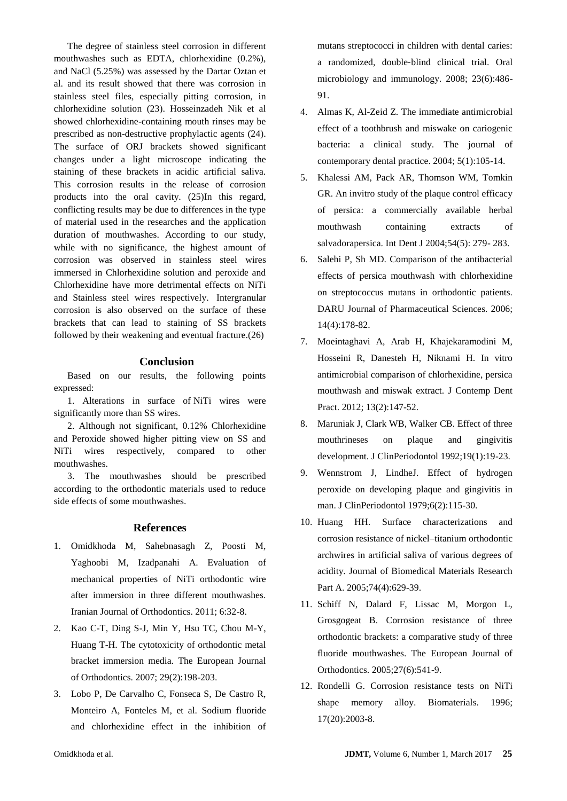The degree of stainless steel corrosion in different mouthwashes such as EDTA, chlorhexidine (0.2%), and NaCl (5.25%) was assessed by the Dartar Oztan et al. and its result showed that there was corrosion in stainless steel files, especially pitting corrosion, in chlorhexidine solution (23). Hosseinzadeh Nik et al showed chlorhexidine-containing mouth rinses may be prescribed as non-destructive prophylactic agents (24). The surface of ORJ brackets showed significant changes under a light microscope indicating the staining of these brackets in acidic artificial saliva. This corrosion results in the release of corrosion products into the oral cavity. (25)In this regard, conflicting results may be due to differences in the type of material used in the researches and the application duration of mouthwashes. According to our study, while with no significance, the highest amount of corrosion was observed in stainless steel wires immersed in Chlorhexidine solution and peroxide and Chlorhexidine have more detrimental effects on NiTi and Stainless steel wires respectively. Intergranular corrosion is also observed on the surface of these brackets that can lead to staining of SS brackets followed by their weakening and eventual fracture.(26)

## **Conclusion**

Based on our results, the following points expressed:

1. Alterations in surface of NiTi wires were significantly more than SS wires.

2. Although not significant, 0.12% Chlorhexidine and Peroxide showed higher pitting view on SS and NiTi wires respectively, compared to other mouthwashes.

3. The mouthwashes should be prescribed according to the orthodontic materials used to reduce side effects of some mouthwashes.

#### **References**

- 1. Omidkhoda M, Sahebnasagh Z, Poosti M, Yaghoobi M, Izadpanahi A. Evaluation of mechanical properties of NiTi orthodontic wire after immersion in three different mouthwashes. Iranian Journal of Orthodontics. 2011; 6:32-8.
- 2. Kao C-T, Ding S-J, Min Y, Hsu TC, Chou M-Y, Huang T-H. The cytotoxicity of orthodontic metal bracket immersion media. The European Journal of Orthodontics. 2007; 29(2):198-203.
- 3. Lobo P, De Carvalho C, Fonseca S, De Castro R, Monteiro A, Fonteles M, et al. Sodium fluoride and chlorhexidine effect in the inhibition of

mutans streptococci in children with dental caries: a randomized, double‐blind clinical trial. Oral microbiology and immunology. 2008; 23(6):486- 91.

- 4. Almas K, Al-Zeid Z. The immediate antimicrobial effect of a toothbrush and miswake on cariogenic bacteria: a clinical study. The journal of contemporary dental practice. 2004; 5(1):105-14.
- 5. Khalessi AM, Pack AR, Thomson WM, Tomkin GR. An invitro study of the plaque control efficacy of persica: a commercially available herbal mouthwash containing extracts of salvadorapersica. Int Dent J 2004;54(5): 279- 283.
- 6. Salehi P, Sh MD. Comparison of the antibacterial effects of persica mouthwash with chlorhexidine on streptococcus mutans in orthodontic patients. DARU Journal of Pharmaceutical Sciences. 2006; 14(4):178-82.
- 7. Moeintaghavi A, Arab H, Khajekaramodini M, Hosseini R, Danesteh H, Niknami H. In vitro antimicrobial comparison of chlorhexidine, persica mouthwash and miswak extract. J Contemp Dent Pract. 2012; 13(2):147-52.
- 8. Maruniak J, Clark WB, Walker CB. Effect of three mouthrineses on plaque and gingivitis development. J ClinPeriodontol 1992;19(1):19-23.
- 9. Wennstrom J, LindheJ. Effect of hydrogen peroxide on developing plaque and gingivitis in man. J ClinPeriodontol 1979;6(2):115-30.
- 10. Huang HH. Surface characterizations and corrosion resistance of nickel–titanium orthodontic archwires in artificial saliva of various degrees of acidity. Journal of Biomedical Materials Research Part A. 2005;74(4):629-39.
- 11. Schiff N, Dalard F, Lissac M, Morgon L, Grosgogeat B. Corrosion resistance of three orthodontic brackets: a comparative study of three fluoride mouthwashes. The European Journal of Orthodontics. 2005;27(6):541-9.
- 12. Rondelli G. Corrosion resistance tests on NiTi shape memory alloy. Biomaterials. 1996; 17(20):2003-8.